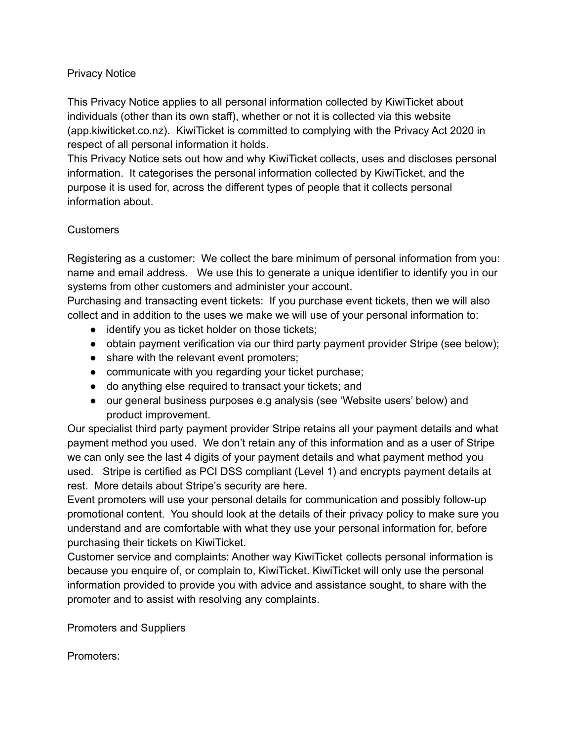### Privacy Notice

This Privacy Notice applies to all personal information collected by KiwiTicket about individuals (other than its own staff), whether or not it is collected via this website (app.kiwiticket.co.nz). KiwiTicket is committed to complying with the Privacy Act 2020 in respect of all personal information it holds.

This Privacy Notice sets out how and why KiwiTicket collects, uses and discloses personal information. It categorises the personal information collected by KiwiTicket, and the purpose it is used for, across the different types of people that it collects personal information about.

### **Customers**

Registering as a customer: We collect the bare minimum of personal information from you: name and email address. We use this to generate a unique identifier to identify you in our systems from other customers and administer your account.

Purchasing and transacting event tickets: If you purchase event tickets, then we will also collect and in addition to the uses we make we will use of your personal information to:

- identify you as ticket holder on those tickets;
- obtain payment verification via our third party payment provider Stripe (see below);
- share with the relevant event promoters;
- communicate with you regarding your ticket purchase;
- do anything else required to transact your tickets; and
- our general business purposes e.g analysis (see 'Website users' below) and product improvement.

Our specialist third party payment provider Stripe retains all your payment details and what payment method you used. We don't retain any of this information and as a user of Stripe we can only see the last 4 digits of your payment details and what payment method you used. Stripe is certified as PCI DSS compliant (Level 1) and encrypts payment details at rest. More details about Stripe's security are [here](https://stripe.com/docs/security/stripe).

Event promoters will use your personal details for communication and possibly follow-up promotional content. You should look at the details of their privacy policy to make sure you understand and are comfortable with what they use your personal information for, before purchasing their tickets on KiwiTicket.

Customer service and complaints: Another way KiwiTicket collects personal information is because you enquire of, or complain to, KiwiTicket. KiwiTicket will only use the personal information provided to provide you with advice and assistance sought, to share with the promoter and to assist with resolving any complaints.

Promoters and Suppliers

Promoters: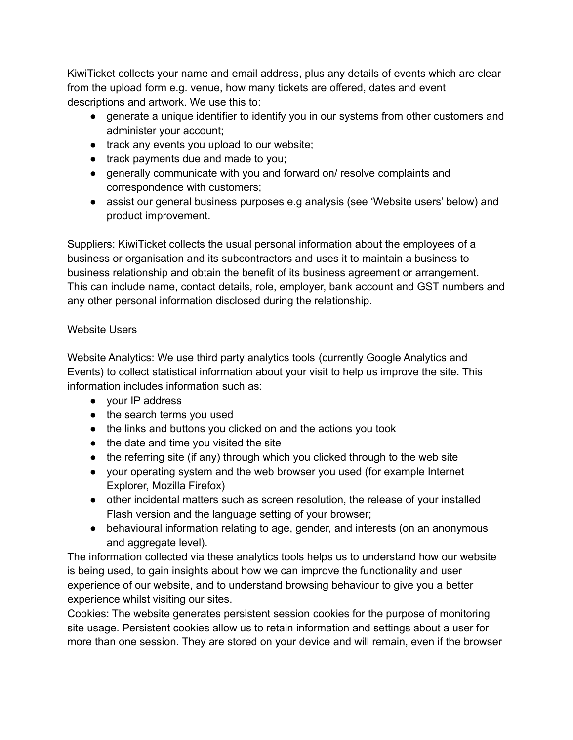KiwiTicket collects your name and email address, plus any details of events which are clear from the upload form e.g. venue, how many tickets are offered, dates and event descriptions and artwork. We use this to:

- generate a unique identifier to identify you in our systems from other customers and administer your account;
- track any events you upload to our website;
- track payments due and made to you;
- generally communicate with you and forward on/ resolve complaints and correspondence with customers;
- assist our general business purposes e.g analysis (see 'Website users' below) and product improvement.

Suppliers: KiwiTicket collects the usual personal information about the employees of a business or organisation and its subcontractors and uses it to maintain a business to business relationship and obtain the benefit of its business agreement or arrangement. This can include name, contact details, role, employer, bank account and GST numbers and any other personal information disclosed during the relationship.

### Website Users

Website Analytics: We use third party analytics tools (currently Google Analytics and Events) to collect statistical information about your visit to help us improve the site. This information includes information such as:

- your IP address
- the search terms you used
- the links and buttons you clicked on and the actions you took
- the date and time you visited the site
- the referring site (if any) through which you clicked through to the web site
- your operating system and the web browser you used (for example Internet Explorer, Mozilla Firefox)
- other incidental matters such as screen resolution, the release of your installed Flash version and the language setting of your browser;
- behavioural information relating to age, gender, and interests (on an anonymous and aggregate level).

The information collected via these analytics tools helps us to understand how our website is being used, to gain insights about how we can improve the functionality and user experience of our website, and to understand browsing behaviour to give you a better experience whilst visiting our sites.

Cookies: The website generates persistent session cookies for the purpose of monitoring site usage. Persistent cookies allow us to retain information and settings about a user for more than one session. They are stored on your device and will remain, even if the browser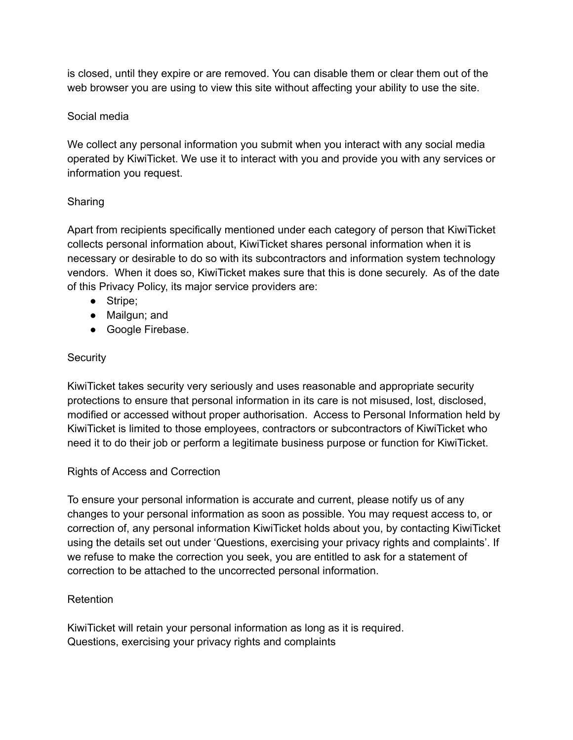is closed, until they expire or are removed. You can disable them or clear them out of the web browser you are using to view this site without affecting your ability to use the site.

## Social media

We collect any personal information you submit when you interact with any social media operated by KiwiTicket. We use it to interact with you and provide you with any services or information you request.

## Sharing

Apart from recipients specifically mentioned under each category of person that KiwiTicket collects personal information about, KiwiTicket shares personal information when it is necessary or desirable to do so with its subcontractors and information system technology vendors. When it does so, KiwiTicket makes sure that this is done securely. As of the date of this Privacy Policy, its major service providers are:

- Stripe;
- Mailgun; and
- Google Firebase.

# **Security**

KiwiTicket takes security very seriously and uses reasonable and appropriate security protections to ensure that personal information in its care is not misused, lost, disclosed, modified or accessed without proper authorisation. Access to Personal Information held by KiwiTicket is limited to those employees, contractors or subcontractors of KiwiTicket who need it to do their job or perform a legitimate business purpose or function for KiwiTicket.

# Rights of Access and Correction

To ensure your personal information is accurate and current, please notify us of any changes to your personal information as soon as possible. You may request access to, or correction of, any personal information KiwiTicket holds about you, by contacting KiwiTicket using the details set out under 'Questions, exercising your privacy rights and complaints'. If we refuse to make the correction you seek, you are entitled to ask for a statement of correction to be attached to the uncorrected personal information.

# Retention

KiwiTicket will retain your personal information as long as it is required. Questions, exercising your privacy rights and complaints